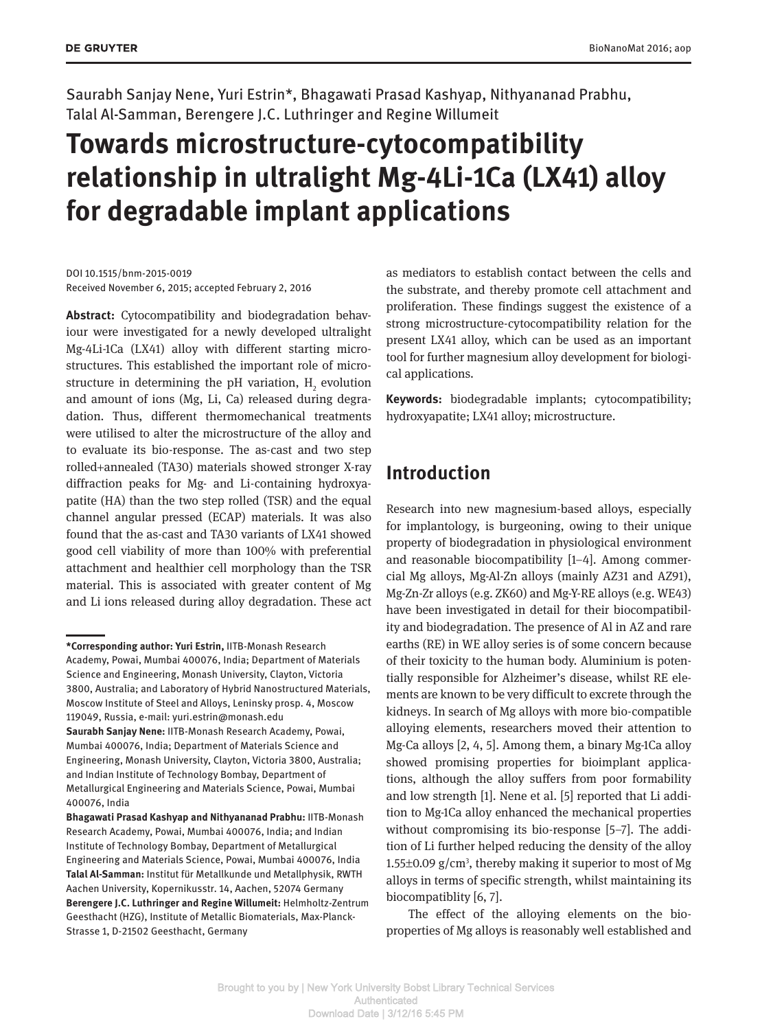Saurabh Sanjay Nene, Yuri Estrin\*, Bhagawati Prasad Kashyap, Nithyananad Prabhu, Talal Al-Samman, Berengere J.C. Luthringer and Regine Willumeit

# **Towards microstructure-cytocompatibility relationship in ultralight Mg-4Li-1Ca (LX41) alloy for degradable implant applications**

DOI 10.1515/bnm-2015-0019 Received November 6, 2015; accepted February 2, 2016

**Abstract:** Cytocompatibility and biodegradation behaviour were investigated for a newly developed ultralight Mg-4Li-1Ca (LX41) alloy with different starting microstructures. This established the important role of microstructure in determining the pH variation,  $H_2$  evolution and amount of ions (Mg, Li, Ca) released during degradation. Thus, different thermomechanical treatments were utilised to alter the microstructure of the alloy and to evaluate its bio-response. The as-cast and two step rolled+annealed (TA30) materials showed stronger X-ray diffraction peaks for Mg- and Li-containing hydroxyapatite (HA) than the two step rolled (TSR) and the equal channel angular pressed (ECAP) materials. It was also found that the as-cast and TA30 variants of LX41 showed good cell viability of more than 100% with preferential attachment and healthier cell morphology than the TSR material. This is associated with greater content of Mg and Li ions released during alloy degradation. These act

as mediators to establish contact between the cells and the substrate, and thereby promote cell attachment and proliferation. These findings suggest the existence of a strong microstructure-cytocompatibility relation for the present LX41 alloy, which can be used as an important tool for further magnesium alloy development for biological applications.

**Keywords:** biodegradable implants; cytocompatibility; hydroxyapatite; LX41 alloy; microstructure.

# **Introduction**

Research into new magnesium-based alloys, especially for implantology, is burgeoning, owing to their unique property of biodegradation in physiological environment and reasonable biocompatibility [1–4]. Among commercial Mg alloys, Mg-Al-Zn alloys (mainly AZ31 and AZ91), Mg-Zn-Zr alloys (e.g. ZK60) and Mg-Y-RE alloys (e.g. WE43) have been investigated in detail for their biocompatibility and biodegradation. The presence of Al in AZ and rare earths (RE) in WE alloy series is of some concern because of their toxicity to the human body. Aluminium is potentially responsible for Alzheimer's disease, whilst RE elements are known to be very difficult to excrete through the kidneys. In search of Mg alloys with more bio-compatible alloying elements, researchers moved their attention to Mg-Ca alloys [2, 4, 5]. Among them, a binary Mg-1Ca alloy showed promising properties for bioimplant applications, although the alloy suffers from poor formability and low strength [1]. Nene et al. [5] reported that Li addition to Mg-1Ca alloy enhanced the mechanical properties without compromising its bio-response [5–7]. The addition of Li further helped reducing the density of the alloy  $1.55\pm0.09$  g/cm<sup>3</sup>, thereby making it superior to most of Mg alloys in terms of specific strength, whilst maintaining its biocompatiblity [6, 7].

The effect of the alloying elements on the bioproperties of Mg alloys is reasonably well established and

**<sup>\*</sup>Corresponding author: Yuri Estrin,** IITB-Monash Research Academy, Powai, Mumbai 400076, India; Department of Materials Science and Engineering, Monash University, Clayton, Victoria 3800, Australia; and Laboratory of Hybrid Nanostructured Materials, Moscow Institute of Steel and Alloys, Leninsky prosp. 4, Moscow 119049, Russia, e-mail: yuri.estrin@monash.edu **Saurabh Sanjay Nene:** IITB-Monash Research Academy, Powai, Mumbai 400076, India; Department of Materials Science and Engineering, Monash University, Clayton, Victoria 3800, Australia; and Indian Institute of Technology Bombay, Department of Metallurgical Engineering and Materials Science, Powai, Mumbai 400076, India

**Bhagawati Prasad Kashyap and Nithyananad Prabhu:** IITB-Monash Research Academy, Powai, Mumbai 400076, India; and Indian Institute of Technology Bombay, Department of Metallurgical Engineering and Materials Science, Powai, Mumbai 400076, India **Talal Al-Samman:** Institut für Metallkunde und Metallphysik, RWTH Aachen University, Kopernikusstr. 14, Aachen, 52074 Germany **Berengere J.C. Luthringer and Regine Willumeit:** Helmholtz-Zentrum Geesthacht (HZG), Institute of Metallic Biomaterials, Max-Planck-Strasse 1, D-21502 Geesthacht, Germany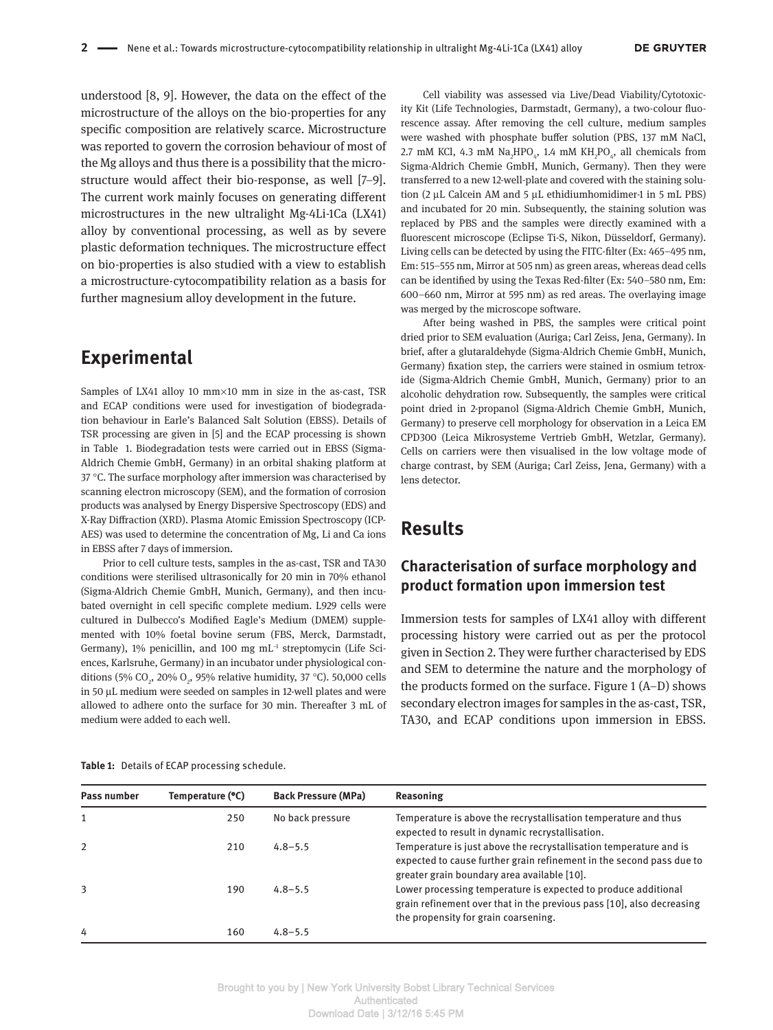understood [8, 9]. However, the data on the effect of the microstructure of the alloys on the bio-properties for any specific composition are relatively scarce. Microstructure was reported to govern the corrosion behaviour of most of the Mg alloys and thus there is a possibility that the microstructure would affect their bio-response, as well [7–9]. The current work mainly focuses on generating different microstructures in the new ultralight Mg-4Li-1Ca (LX41) alloy by conventional processing, as well as by severe plastic deformation techniques. The microstructure effect on bio-properties is also studied with a view to establish a microstructure-cytocompatibility relation as a basis for further magnesium alloy development in the future.

# **Experimental**

Samples of LX41 alloy 10  $mm\times$ 10  $mm$  in size in the as-cast, TSR and ECAP conditions were used for investigation of biodegradation behaviour in Earle's Balanced Salt Solution (EBSS). Details of TSR processing are given in [5] and the ECAP processing is shown in Table 1. Biodegradation tests were carried out in EBSS (Sigma-Aldrich Chemie GmbH, Germany) in an orbital shaking platform at  $37$  °C. The surface morphology after immersion was characterised by scanning electron microscopy (SEM), and the formation of corrosion products was analysed by Energy Dispersive Spectroscopy (EDS) and X-Ray Diffraction (XRD). Plasma Atomic Emission Spectroscopy (ICP-AES) was used to determine the concentration of Mg, Li and Ca ions in EBSS after 7 days of immersion.

Prior to cell culture tests, samples in the as-cast, TSR and TA30 conditions were sterilised ultrasonically for 20 min in 70% ethanol (Sigma-Aldrich Chemie GmbH, Munich, Germany), and then incubated overnight in cell specific complete medium. L929 cells were cultured in Dulbecco's Modified Eagle's Medium (DMEM) supplemented with 10% foetal bovine serum (FBS, Merck, Darmstadt, Germany),  $1\%$  penicillin, and  $100$  mg mL<sup>-1</sup> streptomycin (Life Sciences, Karlsruhe, Germany) in an incubator under physiological conditions (5% CO<sub>2</sub>, 20% O<sub>2</sub>, 95% relative humidity, 37 °C). 50,000 cells in 50 µL medium were seeded on samples in 12-well plates and were allowed to adhere onto the surface for 30 min. Thereafter 3 mL of medium were added to each well.

Cell viability was assessed via Live/Dead Viability/Cytotoxicity Kit (Life Technologies, Darmstadt, Germany), a two-colour fluorescence assay. After removing the cell culture, medium samples were washed with phosphate buffer solution (PBS, 137 mM NaCl, 2.7 mM KCl, 4.3 mM  $\text{Na}_{2}\text{HPO}_{4}$ , 1.4 mM  $\text{KH}_{2}\text{PO}_{4}$ , all chemicals from Sigma-Aldrich Chemie GmbH, Munich, Germany). Then they were transferred to a new 12-well-plate and covered with the staining solution (2 µL Calcein AM and 5 µL ethidiumhomidimer-1 in 5 mL PBS) and incubated for 20 min. Subsequently, the staining solution was replaced by PBS and the samples were directly examined with a fluorescent microscope (Eclipse Ti-S, Nikon, Düsseldorf, Germany). Living cells can be detected by using the FITC-filter (Ex: 465–495 nm, Em: 515–555 nm, Mirror at 505 nm) as green areas, whereas dead cells can be identified by using the Texas Red-filter (Ex: 540–580 nm, Em: 600–660 nm, Mirror at 595 nm) as red areas. The overlaying image was merged by the microscope software.

After being washed in PBS, the samples were critical point dried prior to SEM evaluation (Auriga; Carl Zeiss, Jena, Germany). In brief, after a glutaraldehyde (Sigma-Aldrich Chemie GmbH, Munich, Germany) fixation step, the carriers were stained in osmium tetroxide (Sigma-Aldrich Chemie GmbH, Munich, Germany) prior to an alcoholic dehydration row. Subsequently, the samples were critical point dried in 2-propanol (Sigma-Aldrich Chemie GmbH, Munich, Germany) to preserve cell morphology for observation in a Leica EM CPD300 (Leica Mikrosysteme Vertrieb GmbH, Wetzlar, Germany). Cells on carriers were then visualised in the low voltage mode of charge contrast, by SEM (Auriga; Carl Zeiss, Jena, Germany) with a lens detector.

# **Results**

### **Characterisation of surface morphology and product formation upon immersion test**

Immersion tests for samples of LX41 alloy with different processing history were carried out as per the protocol given in Section 2. They were further characterised by EDS and SEM to determine the nature and the morphology of the products formed on the surface. Figure 1 (A–D) shows secondary electron images for samples in the as-cast, TSR, TA30, and ECAP conditions upon immersion in EBSS.

| Pass number    | Temperature (°C) | <b>Back Pressure (MPa)</b> | Reasoning                                                                                                                                                                                 |
|----------------|------------------|----------------------------|-------------------------------------------------------------------------------------------------------------------------------------------------------------------------------------------|
|                | 250              | No back pressure           | Temperature is above the recrystallisation temperature and thus<br>expected to result in dynamic recrystallisation.                                                                       |
| $\overline{2}$ | 210              | $4.8 - 5.5$                | Temperature is just above the recrystallisation temperature and is<br>expected to cause further grain refinement in the second pass due to<br>greater grain boundary area available [10]. |
| 3              | 190              | $4.8 - 5.5$                | Lower processing temperature is expected to produce additional<br>grain refinement over that in the previous pass [10], also decreasing<br>the propensity for grain coarsening.           |
| 4              | 160              | $4.8 - 5.5$                |                                                                                                                                                                                           |

**Table 1:** Details of ECAP processing schedule.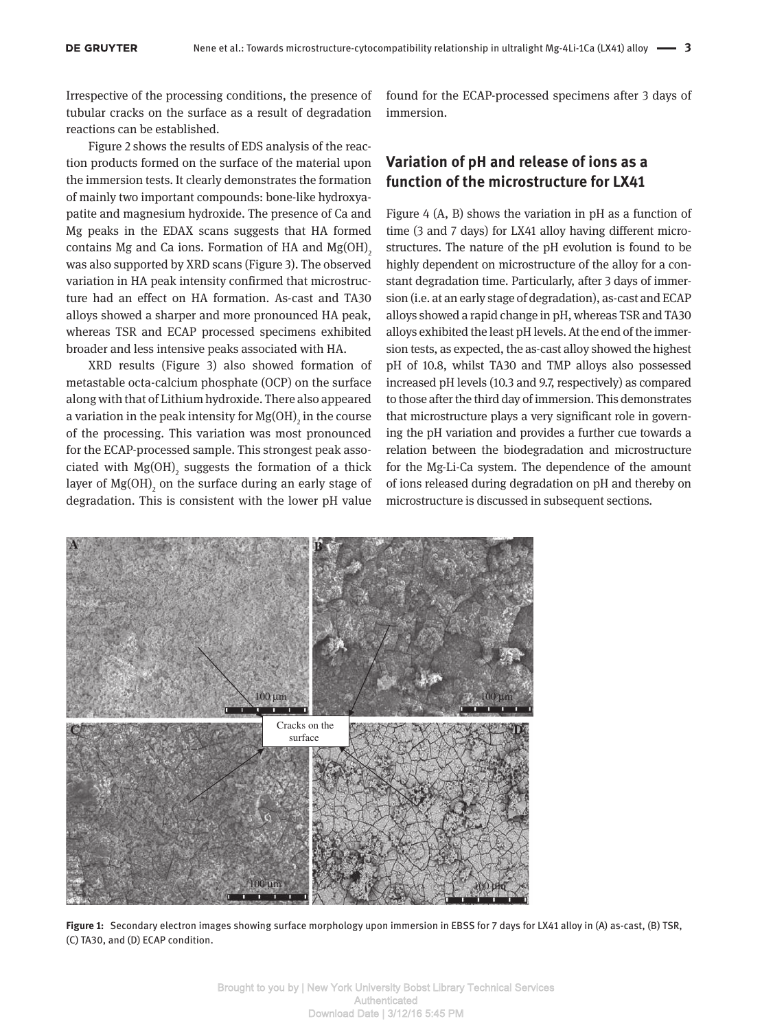Irrespective of the processing conditions, the presence of tubular cracks on the surface as a result of degradation reactions can be established.

Figure 2 shows the results of EDS analysis of the reaction products formed on the surface of the material upon the immersion tests. It clearly demonstrates the formation of mainly two important compounds: bone-like hydroxyapatite and magnesium hydroxide. The presence of Ca and Mg peaks in the EDAX scans suggests that HA formed contains Mg and Ca ions. Formation of HA and  $Mg(OH)$ <sub>2</sub> was also supported by XRD scans (Figure 3). The observed variation in HA peak intensity confirmed that microstructure had an effect on HA formation. As-cast and TA30 alloys showed a sharper and more pronounced HA peak, whereas TSR and ECAP processed specimens exhibited broader and less intensive peaks associated with HA.

XRD results (Figure 3) also showed formation of metastable octa-calcium phosphate (OCP) on the surface along with that of Lithium hydroxide. There also appeared a variation in the peak intensity for  $\mathrm{Mg(OH)}_2$  in the course of the processing. This variation was most pronounced for the ECAP-processed sample. This strongest peak associated with  $Mg(OH)$ <sub>2</sub> suggests the formation of a thick layer of  ${\rm Mg(OH)}_{\rm 2}$  on the surface during an early stage of degradation. This is consistent with the lower pH value

found for the ECAP-processed specimens after 3 days of immersion.

### **Variation of pH and release of ions as a function of the microstructure for LX41**

Figure 4 (A, B) shows the variation in pH as a function of time (3 and 7 days) for LX41 alloy having different microstructures. The nature of the pH evolution is found to be highly dependent on microstructure of the alloy for a constant degradation time. Particularly, after 3 days of immersion (i.e. at an early stage of degradation), as-cast and ECAP alloys showed a rapid change in pH, whereas TSR and TA30 alloys exhibited the least pH levels. At the end of the immersion tests, as expected, the as-cast alloy showed the highest pH of 10.8, whilst TA30 and TMP alloys also possessed increased pH levels (10.3 and 9.7, respectively) as compared to those after the third day of immersion. This demonstrates that microstructure plays a very significant role in governing the pH variation and provides a further cue towards a relation between the biodegradation and microstructure for the Mg-Li-Ca system. The dependence of the amount of ions released during degradation on pH and thereby on microstructure is discussed in subsequent sections.



**Figure 1:** Secondary electron images showing surface morphology upon immersion in EBSS for 7 days for LX41 alloy in (A) as-cast, (B) TSR, (C) TA30, and (D) ECAP condition.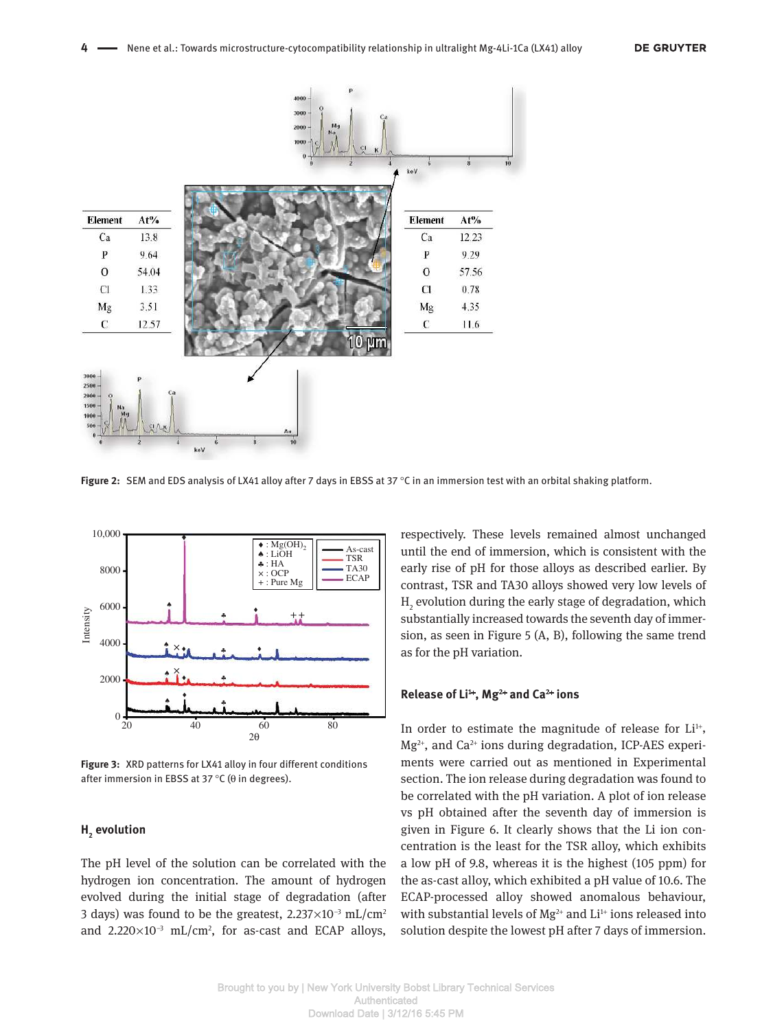

**Figure 2:** SEM and EDS analysis of LX41 alloy after 7 days in EBSS at 37 °C in an immersion test with an orbital shaking platform.



**Figure 3:** XRD patterns for LX41 alloy in four different conditions after immersion in EBSS at 37 °C (θ in degrees).

### **H2 evolution**

The pH level of the solution can be correlated with the hydrogen ion concentration. The amount of hydrogen evolved during the initial stage of degradation (after 3 days) was found to be the greatest,  $2.237 \times 10^{-3}$  mL/cm<sup>2</sup> and  $2.220\times10^{-3}$  mL/cm<sup>2</sup>, for as-cast and ECAP alloys,

respectively. These levels remained almost unchanged until the end of immersion, which is consistent with the early rise of pH for those alloys as described earlier. By contrast, TSR and TA30 alloys showed very low levels of  $\mathrm{H}_2$  evolution during the early stage of degradation, which substantially increased towards the seventh day of immersion, as seen in Figure 5 (A, B), following the same trend as for the pH variation.

#### **Release of Li<sup>1</sup>**<sup>+</sup> **, Mg<sup>2</sup>**<sup>+</sup>  **and Ca<sup>2</sup>**<sup>+</sup>  **ions**

In order to estimate the magnitude of release for  $Li^{1+}$ ,  $Mg^{2+}$ , and Ca<sup>2+</sup> ions during degradation, ICP-AES experiments were carried out as mentioned in Experimental section. The ion release during degradation was found to be correlated with the pH variation. A plot of ion release vs pH obtained after the seventh day of immersion is given in Figure 6. It clearly shows that the Li ion concentration is the least for the TSR alloy, which exhibits a low pH of 9.8, whereas it is the highest (105 ppm) for the as-cast alloy, which exhibited a pH value of 10.6. The ECAP-processed alloy showed anomalous behaviour, with substantial levels of  $Mg^{2+}$  and  $Li^{1+}$  ions released into solution despite the lowest pH after 7 days of immersion.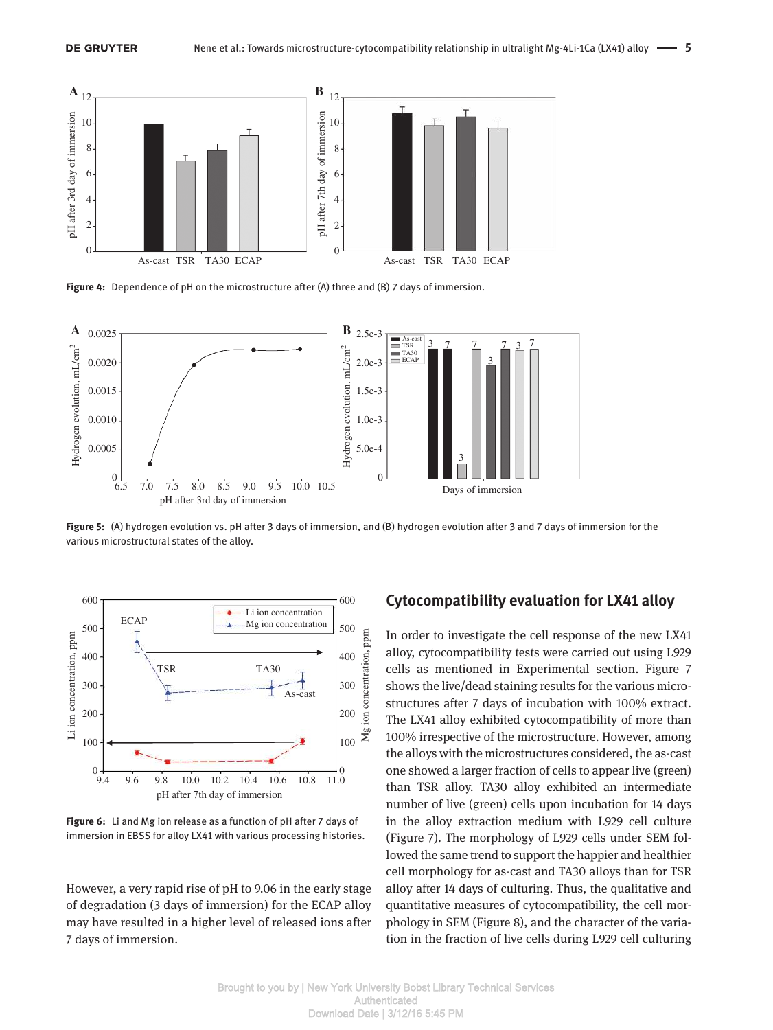

**Figure 4:** Dependence of pH on the microstructure after (A) three and (B) 7 days of immersion.



**Figure 5:** (A) hydrogen evolution vs. pH after 3 days of immersion, and (B) hydrogen evolution after 3 and 7 days of immersion for the various microstructural states of the alloy.



**Figure 6:** Li and Mg ion release as a function of pH after 7 days of immersion in EBSS for alloy LX41 with various processing histories.

However, a very rapid rise of pH to 9.06 in the early stage of degradation (3 days of immersion) for the ECAP alloy may have resulted in a higher level of released ions after 7 days of immersion.

### **Cytocompatibility evaluation for LX41 alloy**

In order to investigate the cell response of the new LX41 alloy, cytocompatibility tests were carried out using L929 cells as mentioned in Experimental section. Figure 7 shows the live/dead staining results for the various microstructures after 7 days of incubation with 100% extract. The LX41 alloy exhibited cytocompatibility of more than 100% irrespective of the microstructure. However, among the alloys with the microstructures considered, the as-cast one showed a larger fraction of cells to appear live (green) than TSR alloy. TA30 alloy exhibited an intermediate number of live (green) cells upon incubation for 14 days in the alloy extraction medium with L929 cell culture (Figure 7). The morphology of L929 cells under SEM followed the same trend to support the happier and healthier cell morphology for as-cast and TA30 alloys than for TSR alloy after 14 days of culturing. Thus, the qualitative and quantitative measures of cytocompatibility, the cell morphology in SEM (Figure 8), and the character of the variation in the fraction of live cells during L929 cell culturing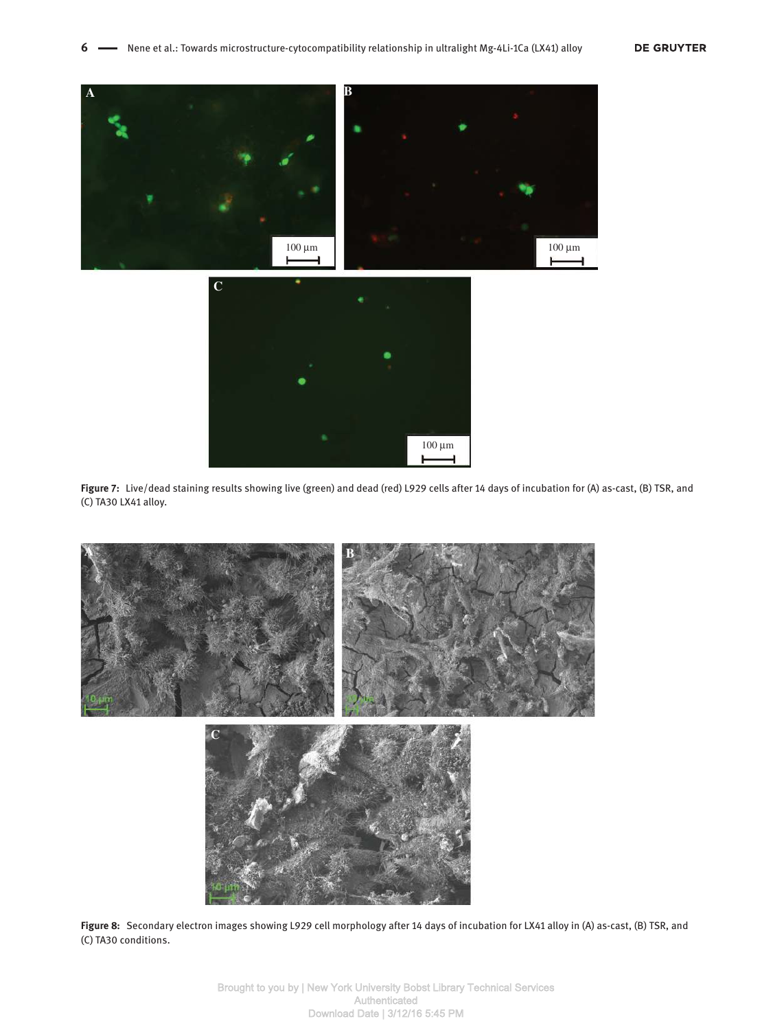





**Figure 8:** Secondary electron images showing L929 cell morphology after 14 days of incubation for LX41 alloy in (A) as-cast, (B) TSR, and (C) TA30 conditions.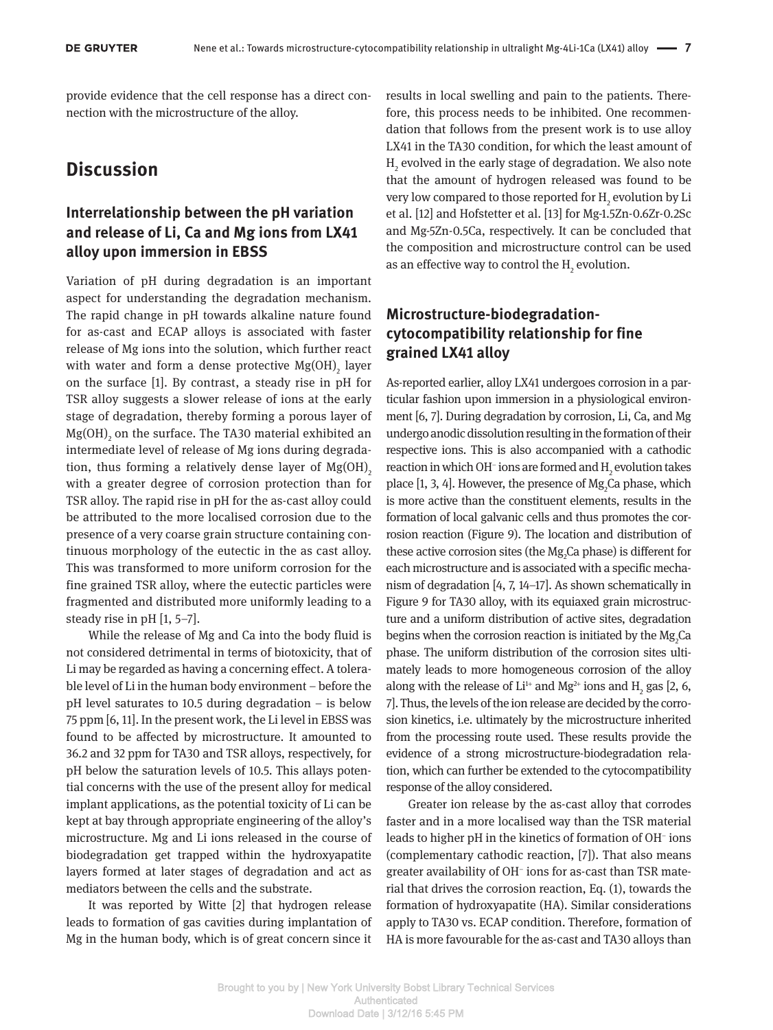provide evidence that the cell response has a direct connection with the microstructure of the alloy.

# **Discussion**

### **Interrelationship between the pH variation and release of Li, Ca and Mg ions from LX41 alloy upon immersion in EBSS**

Variation of pH during degradation is an important aspect for understanding the degradation mechanism. The rapid change in pH towards alkaline nature found for as-cast and ECAP alloys is associated with faster release of Mg ions into the solution, which further react with water and form a dense protective  $\mathrm{Mg(OH)}_{2}$  layer on the surface [1]. By contrast, a steady rise in pH for TSR alloy suggests a slower release of ions at the early stage of degradation, thereby forming a porous layer of  $Mg(OH)_{2}$  on the surface. The TA30 material exhibited an intermediate level of release of Mg ions during degradation, thus forming a relatively dense layer of  $Mg(OH)$ <sub>2</sub> with a greater degree of corrosion protection than for TSR alloy. The rapid rise in pH for the as-cast alloy could be attributed to the more localised corrosion due to the presence of a very coarse grain structure containing continuous morphology of the eutectic in the as cast alloy. This was transformed to more uniform corrosion for the fine grained TSR alloy, where the eutectic particles were fragmented and distributed more uniformly leading to a steady rise in pH [1, 5–7].

While the release of Mg and Ca into the body fluid is not considered detrimental in terms of biotoxicity, that of Li may be regarded as having a concerning effect. A tolerable level of Li in the human body environment – before the pH level saturates to 10.5 during degradation – is below 75 ppm [6, 11]. In the present work, the Li level in EBSS was found to be affected by microstructure. It amounted to 36.2 and 32 ppm for TA30 and TSR alloys, respectively, for pH below the saturation levels of 10.5. This allays potential concerns with the use of the present alloy for medical implant applications, as the potential toxicity of Li can be kept at bay through appropriate engineering of the alloy's microstructure. Mg and Li ions released in the course of biodegradation get trapped within the hydroxyapatite layers formed at later stages of degradation and act as mediators between the cells and the substrate.

It was reported by Witte [2] that hydrogen release leads to formation of gas cavities during implantation of Mg in the human body, which is of great concern since it results in local swelling and pain to the patients. Therefore, this process needs to be inhibited. One recommendation that follows from the present work is to use alloy LX41 in the TA30 condition, for which the least amount of  ${\rm H_2}$  evolved in the early stage of degradation. We also note that the amount of hydrogen released was found to be very low compared to those reported for  $\rm H_2$  evolution by Li et al. [12] and Hofstetter et al. [13] for Mg-1.5Zn-0.6Zr-0.2Sc and Mg-5Zn-0.5Ca, respectively. It can be concluded that the composition and microstructure control can be used as an effective way to control the  $\mathtt{H}_{_2}$  evolution.

### **Microstructure-biodegradationcytocompatibility relationship for fine grained LX41 alloy**

As-reported earlier, alloy LX41 undergoes corrosion in a particular fashion upon immersion in a physiological environment [6, 7]. During degradation by corrosion, Li, Ca, and Mg undergo anodic dissolution resulting in the formation of their respective ions. This is also accompanied with a cathodic reaction in which OH $^{\scriptscriptstyle +}$  ions are formed and  $\rm H_{\tiny 2}$  evolution takes place [1, 3, 4]. However, the presence of  $Mg_2$ Ca phase, which is more active than the constituent elements, results in the formation of local galvanic cells and thus promotes the corrosion reaction (Figure 9). The location and distribution of these active corrosion sites (the  $Mg_2$ Ca phase) is different for each microstructure and is associated with a specific mechanism of degradation [4, 7, 14–17]. As shown schematically in Figure 9 for TA30 alloy, with its equiaxed grain microstructure and a uniform distribution of active sites, degradation begins when the corrosion reaction is initiated by the  ${ {\rm Mg}_2}$ Ca phase. The uniform distribution of the corrosion sites ultimately leads to more homogeneous corrosion of the alloy along with the release of  $Li^{1+}$  and Mg<sup>2+</sup> ions and H<sub>2</sub> gas [2, 6, 7]. Thus, the levels of the ion release are decided by the corrosion kinetics, i.e. ultimately by the microstructure inherited from the processing route used. These results provide the evidence of a strong microstructure-biodegradation relation, which can further be extended to the cytocompatibility response of the alloy considered.

Greater ion release by the as-cast alloy that corrodes faster and in a more localised way than the TSR material leads to higher pH in the kinetics of formation of OH– ions (complementary cathodic reaction, [7]). That also means greater availability of OH– ions for as-cast than TSR material that drives the corrosion reaction, Eq. (1), towards the formation of hydroxyapatite (HA). Similar considerations apply to TA30 vs. ECAP condition. Therefore, formation of HA is more favourable for the as-cast and TA30 alloys than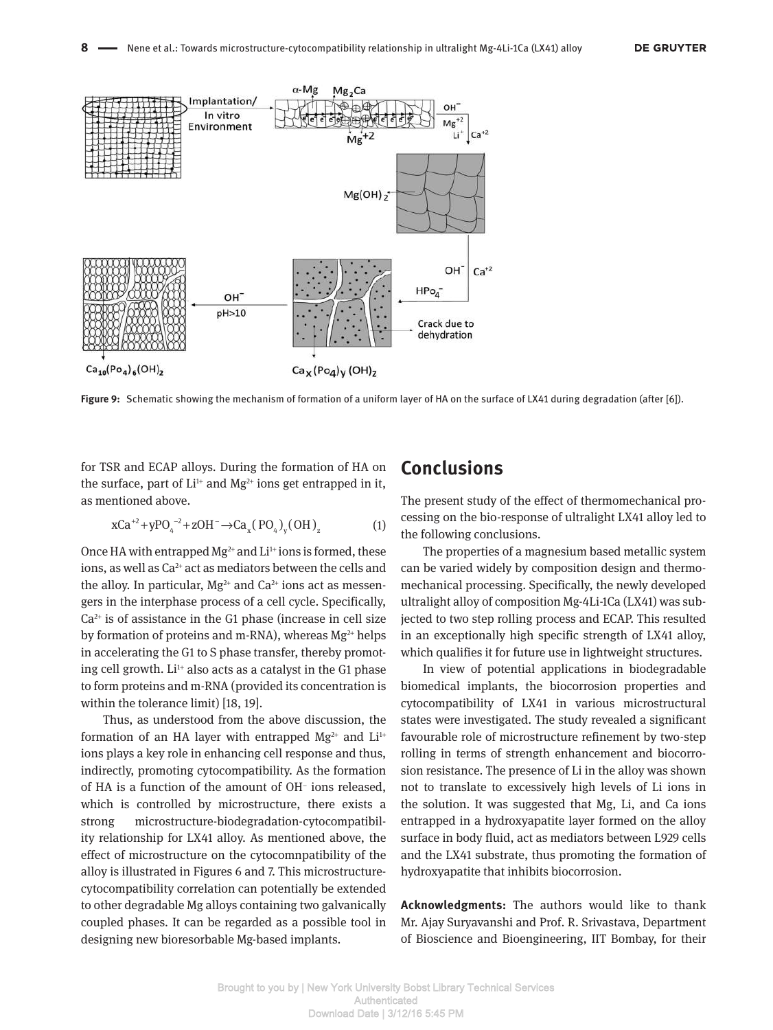

**Figure 9:** Schematic showing the mechanism of formation of a uniform layer of HA on the surface of LX41 during degradation (after [6]).

for TSR and ECAP alloys. During the formation of HA on the surface, part of  $Li^{1+}$  and  $Mg^{2+}$  ions get entrapped in it, as mentioned above.

$$
xCa^{+2} + yPO_{4}^{-2} + zOH^{-} \to Ca_{x}(PO_{4})_{y}(OH)_{z}
$$
 (1)

Once HA with entrapped  $Mg^{2+}$  and  $Li^{1+}$  ions is formed, these ions, as well as Ca<sup>2+</sup> act as mediators between the cells and the alloy. In particular,  $Mg^{2+}$  and Ca<sup>2+</sup> ions act as messengers in the interphase process of a cell cycle. Specifically,  $Ca<sup>2+</sup>$  is of assistance in the G1 phase (increase in cell size by formation of proteins and m-RNA), whereas  $Mg^{2+}$  helps in accelerating the G1 to S phase transfer, thereby promoting cell growth.  $Li^{1+}$  also acts as a catalyst in the G1 phase to form proteins and m-RNA (provided its concentration is within the tolerance limit) [18, 19].

Thus, as understood from the above discussion, the formation of an HA layer with entrapped  $Mg^{2+}$  and  $Li^{1+}$ ions plays a key role in enhancing cell response and thus, indirectly, promoting cytocompatibility. As the formation of HA is a function of the amount of OH– ions released, which is controlled by microstructure, there exists a strong microstructure-biodegradation-cytocompatibility relationship for LX41 alloy. As mentioned above, the effect of microstructure on the cytocomnpatibility of the alloy is illustrated in Figures 6 and 7. This microstructurecytocompatibility correlation can potentially be extended to other degradable Mg alloys containing two galvanically coupled phases. It can be regarded as a possible tool in designing new bioresorbable Mg-based implants.

# **Conclusions**

The present study of the effect of thermomechanical processing on the bio-response of ultralight LX41 alloy led to the following conclusions.

The properties of a magnesium based metallic system can be varied widely by composition design and thermomechanical processing. Specifically, the newly developed ultralight alloy of composition Mg-4Li-1Ca (LX41) was subjected to two step rolling process and ECAP. This resulted in an exceptionally high specific strength of LX41 alloy, which qualifies it for future use in lightweight structures.

In view of potential applications in biodegradable biomedical implants, the biocorrosion properties and cytocompatibility of LX41 in various microstructural states were investigated. The study revealed a significant favourable role of microstructure refinement by two-step rolling in terms of strength enhancement and biocorrosion resistance. The presence of Li in the alloy was shown not to translate to excessively high levels of Li ions in the solution. It was suggested that Mg, Li, and Ca ions entrapped in a hydroxyapatite layer formed on the alloy surface in body fluid, act as mediators between L929 cells and the LX41 substrate, thus promoting the formation of hydroxyapatite that inhibits biocorrosion.

**Acknowledgments:** The authors would like to thank Mr. Ajay Suryavanshi and Prof. R. Srivastava, Department of Bioscience and Bioengineering, IIT Bombay, for their